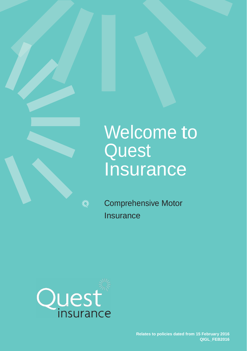# Welcome to **Quest Insurance**

美元

Comprehensive Motor **Insurance** 

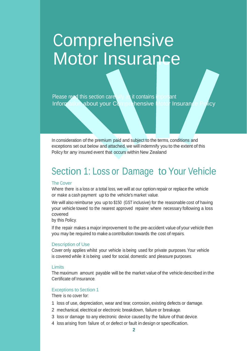# **Comprehensive** Motor Insurance

Please read this section carefully as it contains important Information about your Comprehensive Motor Insurance Policy

In consideration of the premium paid and subject to the terms, conditions and exceptions set out below and attached, we will indemnify you to the extent of this Policy for any insured event that occurs within New Zealand

### <sup>S</sup>ection 1: Loss or Damage to Your Vehicle

#### The Cover

Where there is a loss or a total loss, we will at our option repair or replace the vehicle or make a cash payment up to the vehicle's market value.

We will also reimburse you up to \$150 (GST inclusive) for the reasonable cost of having your vehicle towed to the nearest approved repairer where necessary following a loss covered

by this Policy.

If the repair makes a major improvement to the pre-accident value of your vehicle then you may be required to make a contribution towards the cost of repairs.

#### Description of Use

Cover only applies whilst your vehicle is being used for private purposes. Your vehicle is covered while it is being used for social, domestic and pleasure purposes.

#### Limits

The maximum amount payable will be the market value of the vehicle described in the Certificate of Insurance.

#### Exceptions to Section 1

There is no cover for:

- 1 loss of use, depreciation, wear and tear, corrosion, existing defects or damage.
- 2 mechanical, electrical or electronic breakdown, failure or breakage.
- 3 loss or damage to any electronic device caused by the failure of that device.
- 4 loss arising from failure of, or defect or fault in design or specification.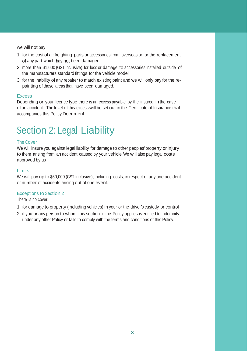we will not pay:

- 1 for the cost of air freighting parts or accessories from overseas or for the replacement of any part which has not been damaged.
- 2 more than \$1,000 (GST inclusive) for loss or damage to accessories installed outside of the manufacturers standard fittings for the vehicle model.
- 3 for the inability of any repairer to match existing paint and we will only pay for the repainting of those areas that have been damaged.

#### Excess

Depending on your licence type there is an excess payable by the insured in the case of an accident. The level of this excess will be set out in the Certificate of Insurance that accompanies this Policy Document.

## <sup>S</sup>ection 2: Legal Liability

#### The Cover

We will insure you against legal liability for damage to other peoples' property or injury to them arising from an accident caused by your vehicle. We will also pay legal costs approved by us.

#### Limits

We will pay up to \$50,000 (GST inclusive), including costs, in respect of any one accident or number of accidents arising out of one event.

#### Exceptions to Section 2

There is no cover:

- 1 for damage to property (including vehicles) in your or the driver's custody or control.
- 2 if you or any person to whom this section of the Policy applies is entitled to indemnity under any other Policy or fails to comply with the terms and conditions of this Policy.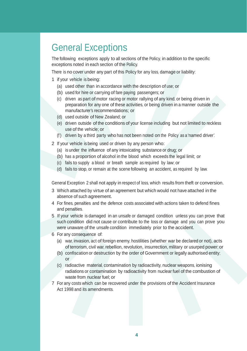### General Exceptions

The following exceptions apply to all sections of the Policy, in addition to the specific exceptions noted in each section of the Policy.

There is no cover under any part of this Policy for any loss, damage or liability:

- 1 if your vehicle is being:
	- (a) used other than in accordance with the description of use; or
	- (b) used for hire or carrying of fare paying passengers; or
	- (c) driven as part of motor racing or motor rallying of any kind, or being driven in preparation for any one of these activities, or being driven in a manner outside the manufacturer's recommendations; or
	- (d) used outside of New Zealand; or
	- (e) driven outside of the conditions of your license including but not limited to reckless use of the vehicle; or
	- (f) driven by a third party who has not been noted on the Policy as a 'named driver'.
- 2 If your vehicle is being used or driven by any person who:
	- (a) is under the influence of any intoxicating substance or drug; or
	- (b) has a proportion of alcohol in the blood which exceeds the legal limit; or
	- (c) fails to supply a blood or breath sample as required by law; or
	- (d) fails to stop, or remain at the scene following an accident, as required by law.

General Exception 2 shall not apply in respect of loss, which results from theft or conversion.

- 3 Which attached by virtue of an agreement but which would not have attached in the absence of such agreement.
- 4 For fines, penalties and the defence costs associated with actions taken to defend fines and penalties.
- 5 If your vehicle is damaged in an unsafe or damaged condition unless you can prove that such condition did not cause or contribute to the loss or damage and you can prove you were unaware of the unsafe condition immediately prior to the accident.
- 6 For any consequence of:
	- (a) war, invasion, act of foreign enemy, hostilities (whether war be declared or not), acts of terrorism, civil war, rebellion, revolution, insurrection, military or usurped power; or
	- (b) confiscation or destruction by the order of Government or legally authorised entity; or
	- (c) radioactive material, contamination by radioactivity, nuclear weapons, ionising radiations or contamination by radioactivity from nuclear fuel of the combustion of waste from nuclear fuel; or
- 7 For any costs which can be recovered under the provisions of the Accident Insurance Act 1998 and its amendments.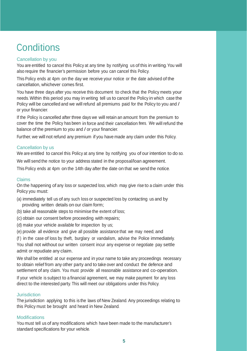### **Conditions**

#### Cancellation by you

You are entitled to cancel this Policy at any time by notifying us of this in writing. You will also require the financier's permission before you can cancel this Policy.

This Policy ends at 4pm on the day we receive your notice or the date advised of the cancellation, whichever comes first.

You have three days after you receive this document to check that the Policy meets your needs. Within this period you may in writing tell us to cancel the Policy in which case the Policy will be cancelled and we will refund all premiums paid for the Policy to you and / or your financier.

If the Policy is cancelled after three days we will retain an amount from the premium to cover the time the Policy has been in force and their cancellation fees. We will refund the balance of the premium to you and / or your financier.

Further, we will not refund any premium if you have made any claim under this Policy.

#### Cancellation by us

We are entitled to cancel this Policy at any time by notifying you of our intention to do so.

We will send the notice to your address stated in the proposal/loan agreement.

This Policy ends at 4pm on the 14th day after the date on that we send the notice.

#### Claims

On the happening of any loss or suspected loss, which may give rise to a claim under this Policy you must:

- (a) immediately tell us of any such loss or suspected loss by contacting us and by providing written details on our claim form;
- (b) take all reasonable steps to minimise the extent of loss;
- (c) obtain our consent before proceeding with repairs;
- (d) make your vehicle available for inspection by us;
- (e) provide all evidence and give all possible assistance that we may need, and

(f ) in the case of loss by theft, burglary or vandalism, advise the Police immediately. You shall not without our written consent incur any expense or negotiate pay settle admit or repudiate any claim.

We shall be entitled at our expense and in your name to take any proceedings necessary to obtain relief from any other party and to take over and conduct the defence and settlement of any claim. You must provide all reasonable assistance and co-operation.

If your vehicle is subject to a financial agreement, we may make payment for any loss direct to the interested party. This will meet our obligations under this <sup>P</sup>olicy.

#### **Jurisdiction**

The jurisdiction applying to this is the laws of New Zealand. Any proceedings relating to this Policy must be brought and heard in New Zealand.

#### Modifications

You must tell us of any modifications which have been made to the manufacturer's standard specifications for your vehicle.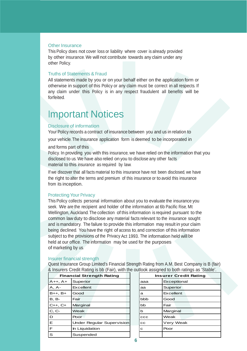#### Other Insurance

This Policy does not cover loss or liability where cover is already provided by other insurance. We will not contribute towards any claim under any other Policy.

#### Truths of <sup>S</sup>tatements & <sup>F</sup>raud

All statements made by you or on your behalf either on the application form or otherwise in support of this Policy or any claim must be correct in all respects. If any claim under this Policy is in any respect fraudulent all benefits will be forfeited.

### Important Notices

#### Disclosure of information

Your Policy records a contract of insurance between you and us in relation to

your vehicle. The insurance application form is deemed to be incorporated in

#### and forms part of this

Policy. In providing you with this insurance, we have relied on the information that you disclosed to us. We have also relied on you to disclose any other facts material to this insurance as required by law.

If we discover that all facts material to this insurance have not been disclosed, we have the right to alter the terms and premium of this insurance or to avoid this insurance from its inception.

#### **Protecting Your Privacy**

This Policy collects personal information about you to evaluate the insurance you seek. We are the recipient and holder of the information at 6b Pacific <sup>R</sup>ise, Mt Wellington, Auckland. The collection of this information is required pursuant to the common law duty to disclose any material facts relevant to the insurance sought and is mandatory. The failure to provide this information may result in your claim being declined. You have the right of access to, and correction of this information subject to the provisions of the Privacy Act 1993. The information held will be held at our office. The information may be used for the purposes of marketing by us.

#### Insurer financial strength

Quest Insurance Group Limited's Financial Strength Rating from A.M. Best Company is B (fair) & Insurers Credit Rating is bb (Fair), with the outlook assigned to both ratings as 'Stable'.

|                                  | a modicio orodini namiglio se fi anglimini molo senociti accenditori le seni iam |  |                      |             |  |
|----------------------------------|----------------------------------------------------------------------------------|--|----------------------|-------------|--|
| <b>Financial Strength Rating</b> |                                                                                  |  | <b>Insurer Credi</b> |             |  |
| $A++, A+$                        | Superior                                                                         |  | aaa                  | Exceptional |  |
| $A, A-$                          | Excellent                                                                        |  | aa                   | Superior    |  |
| $B++, B+$                        | Good                                                                             |  | a                    | Excellent   |  |
| <b>B</b> , <b>B</b> -            | Fair                                                                             |  | bbb                  | Good        |  |
| $C++$ , $C+$                     | Marginal                                                                         |  | bb                   | Fair        |  |
| C, C-                            | Weak                                                                             |  | b                    | Marginal    |  |
| D                                | Poor                                                                             |  | CCC                  | Weak        |  |
| Е                                | <b>Under Regular Supervision</b>                                                 |  | CC                   | Very Weak   |  |
| F                                | In Liquidation                                                                   |  | с                    | Poor        |  |
| S                                | Suspended                                                                        |  |                      |             |  |

| <b>Financial Strength Rating</b> |                                  |  | <b>Insurer Credit Rating</b> |             |  |
|----------------------------------|----------------------------------|--|------------------------------|-------------|--|
| $A+$                             | Superior                         |  | aaa                          | Exceptional |  |
|                                  | Excellent                        |  | aa                           | Superior    |  |
| $B+$                             | Good                             |  | a                            | Excellent   |  |
|                                  | Fair                             |  | bbb                          | Good        |  |
| $C+$                             | Marginal                         |  | bb                           | Fair        |  |
|                                  | Weak                             |  | b                            | Marginal    |  |
|                                  | Poor                             |  | ccc                          | Weak        |  |
|                                  | <b>Under Regular Supervision</b> |  | CC                           | Very Weak   |  |
|                                  | In Liquidation                   |  | c                            | Poor        |  |
|                                  | Suspended                        |  |                              |             |  |